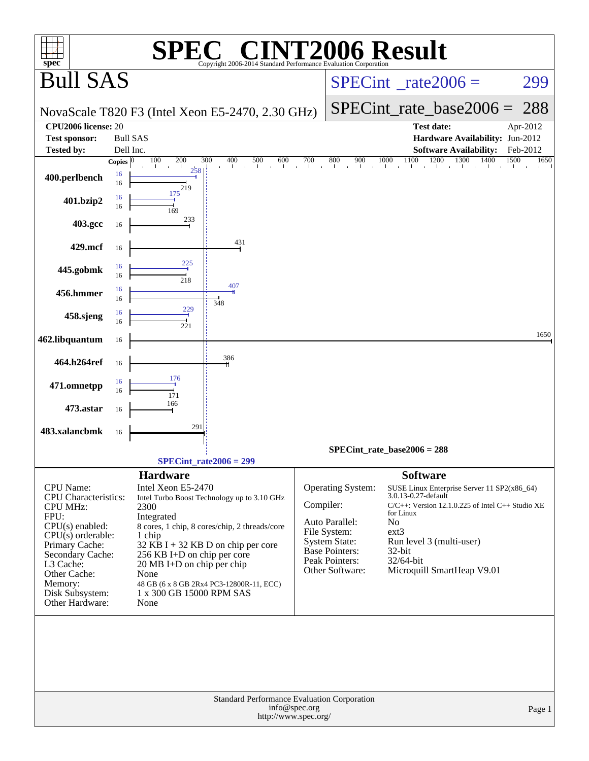| $\mathbf{P}(\mathbb{R})$                                                                                                                                                                                                                                                                                                                                                                                                                                                                                                                                                                                  |                                                                                                                                                                                                                                                                                                                                                                                                                 |
|-----------------------------------------------------------------------------------------------------------------------------------------------------------------------------------------------------------------------------------------------------------------------------------------------------------------------------------------------------------------------------------------------------------------------------------------------------------------------------------------------------------------------------------------------------------------------------------------------------------|-----------------------------------------------------------------------------------------------------------------------------------------------------------------------------------------------------------------------------------------------------------------------------------------------------------------------------------------------------------------------------------------------------------------|
| $spec^*$                                                                                                                                                                                                                                                                                                                                                                                                                                                                                                                                                                                                  | <b>T2006 Result</b><br>Copyright 2006-2014 Standard Performance Evaluation Corporation                                                                                                                                                                                                                                                                                                                          |
| <b>Bull SAS</b>                                                                                                                                                                                                                                                                                                                                                                                                                                                                                                                                                                                           | $SPECint^{\circ}$ <sub>_rate2006</sub> =<br>299                                                                                                                                                                                                                                                                                                                                                                 |
| NovaScale T820 F3 (Intel Xeon E5-2470, 2.30 GHz)                                                                                                                                                                                                                                                                                                                                                                                                                                                                                                                                                          | $SPECint_rate_base2006 =$<br>288                                                                                                                                                                                                                                                                                                                                                                                |
| CPU2006 license: 20                                                                                                                                                                                                                                                                                                                                                                                                                                                                                                                                                                                       | <b>Test date:</b><br>Apr-2012                                                                                                                                                                                                                                                                                                                                                                                   |
| <b>Test sponsor:</b><br><b>Bull SAS</b>                                                                                                                                                                                                                                                                                                                                                                                                                                                                                                                                                                   | Hardware Availability: Jun-2012                                                                                                                                                                                                                                                                                                                                                                                 |
| <b>Tested by:</b><br>Dell Inc.<br>100<br>200<br>300<br>500<br>Copies $ 0\rangle$<br>400                                                                                                                                                                                                                                                                                                                                                                                                                                                                                                                   | <b>Software Availability:</b><br>Feb-2012<br>1100<br>1200<br>1300<br>600<br>700<br>800<br>900<br>1000<br>1400<br>1500<br>1650                                                                                                                                                                                                                                                                                   |
| $\mathbf{1}$<br>$\mathbf{I}$<br>258<br>16<br>400.perlbench<br>16<br>219                                                                                                                                                                                                                                                                                                                                                                                                                                                                                                                                   | the contract of the Teacher<br>$\sim$<br>$\sim$<br>$\mathbf{1}$<br>$\sim 10^{-1}$                                                                                                                                                                                                                                                                                                                               |
| 175<br>16<br>401.bzip2<br>16<br>169                                                                                                                                                                                                                                                                                                                                                                                                                                                                                                                                                                       |                                                                                                                                                                                                                                                                                                                                                                                                                 |
| 233<br>403.gcc<br>16                                                                                                                                                                                                                                                                                                                                                                                                                                                                                                                                                                                      |                                                                                                                                                                                                                                                                                                                                                                                                                 |
| 431<br>429.mcf<br>16                                                                                                                                                                                                                                                                                                                                                                                                                                                                                                                                                                                      |                                                                                                                                                                                                                                                                                                                                                                                                                 |
| 225<br>16<br>445.gobmk<br>16<br>218                                                                                                                                                                                                                                                                                                                                                                                                                                                                                                                                                                       |                                                                                                                                                                                                                                                                                                                                                                                                                 |
| 407<br>16<br>456.hmmer<br>16<br>348<br>229                                                                                                                                                                                                                                                                                                                                                                                                                                                                                                                                                                |                                                                                                                                                                                                                                                                                                                                                                                                                 |
| 16<br>458.sjeng<br>16<br>221                                                                                                                                                                                                                                                                                                                                                                                                                                                                                                                                                                              |                                                                                                                                                                                                                                                                                                                                                                                                                 |
| 462.libquantum<br>16                                                                                                                                                                                                                                                                                                                                                                                                                                                                                                                                                                                      | 1650                                                                                                                                                                                                                                                                                                                                                                                                            |
| 386<br>464.h264ref<br>16                                                                                                                                                                                                                                                                                                                                                                                                                                                                                                                                                                                  |                                                                                                                                                                                                                                                                                                                                                                                                                 |
| 176<br>16<br>471.omnetpp<br>16<br>171                                                                                                                                                                                                                                                                                                                                                                                                                                                                                                                                                                     |                                                                                                                                                                                                                                                                                                                                                                                                                 |
| 166<br>473.astar<br>16                                                                                                                                                                                                                                                                                                                                                                                                                                                                                                                                                                                    |                                                                                                                                                                                                                                                                                                                                                                                                                 |
| 291<br>483.xalancbmk<br>16                                                                                                                                                                                                                                                                                                                                                                                                                                                                                                                                                                                |                                                                                                                                                                                                                                                                                                                                                                                                                 |
|                                                                                                                                                                                                                                                                                                                                                                                                                                                                                                                                                                                                           | $SPECint_rate_base2006 = 288$                                                                                                                                                                                                                                                                                                                                                                                   |
| SPECint rate $2006 = 299$                                                                                                                                                                                                                                                                                                                                                                                                                                                                                                                                                                                 |                                                                                                                                                                                                                                                                                                                                                                                                                 |
| <b>Hardware</b><br>Intel Xeon E5-2470<br><b>CPU</b> Name:<br>CPU Characteristics:<br>Intel Turbo Boost Technology up to 3.10 GHz<br>2300<br><b>CPU MHz:</b><br>FPU:<br>Integrated<br>$CPU(s)$ enabled:<br>8 cores, 1 chip, 8 cores/chip, 2 threads/core<br>$CPU(s)$ orderable:<br>1 chip<br>$32$ KB I + 32 KB D on chip per core<br>Primary Cache:<br>Secondary Cache:<br>256 KB I+D on chip per core<br>L3 Cache:<br>20 MB I+D on chip per chip<br>Other Cache:<br>None<br>Memory:<br>48 GB (6 x 8 GB 2Rx4 PC3-12800R-11, ECC)<br>Disk Subsystem:<br>1 x 300 GB 15000 RPM SAS<br>Other Hardware:<br>None | <b>Software</b><br>Operating System:<br>SUSE Linux Enterprise Server 11 SP2(x86_64)<br>3.0.13-0.27-default<br>Compiler:<br>C/C++: Version 12.1.0.225 of Intel C++ Studio XE<br>for Linux<br>No<br>Auto Parallel:<br>ext3<br>File System:<br><b>System State:</b><br>Run level 3 (multi-user)<br><b>Base Pointers:</b><br>32-bit<br>Peak Pointers:<br>32/64-bit<br>Other Software:<br>Microquill SmartHeap V9.01 |
|                                                                                                                                                                                                                                                                                                                                                                                                                                                                                                                                                                                                           | Standard Performance Evaluation Corporation                                                                                                                                                                                                                                                                                                                                                                     |
|                                                                                                                                                                                                                                                                                                                                                                                                                                                                                                                                                                                                           | info@spec.org<br>Page 1<br>http://www.spec.org/                                                                                                                                                                                                                                                                                                                                                                 |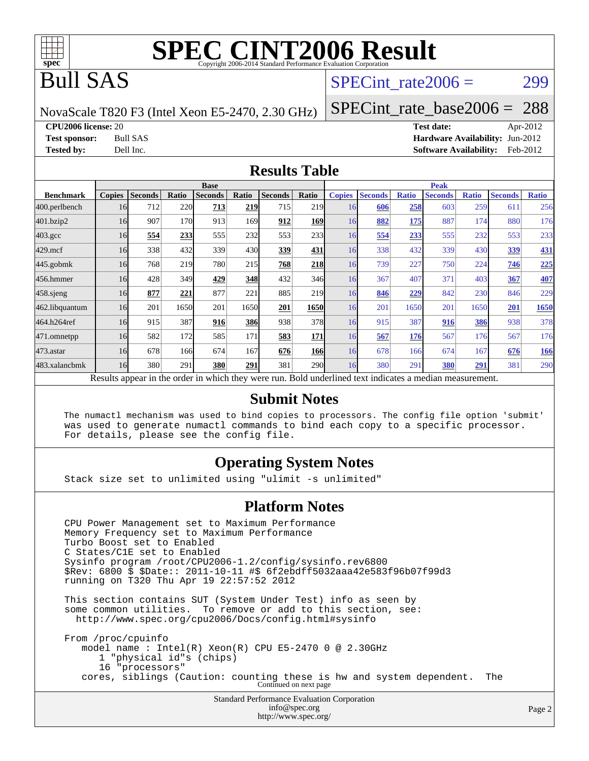

## Bull SAS

#### SPECint rate $2006 = 299$

NovaScale T820 F3 (Intel Xeon E5-2470, 2.30 GHz)

[SPECint\\_rate\\_base2006 =](http://www.spec.org/auto/cpu2006/Docs/result-fields.html#SPECintratebase2006) 288

**[CPU2006 license:](http://www.spec.org/auto/cpu2006/Docs/result-fields.html#CPU2006license)** 20 **[Test date:](http://www.spec.org/auto/cpu2006/Docs/result-fields.html#Testdate)** Apr-2012 **[Test sponsor:](http://www.spec.org/auto/cpu2006/Docs/result-fields.html#Testsponsor)** Bull SAS **[Hardware Availability:](http://www.spec.org/auto/cpu2006/Docs/result-fields.html#HardwareAvailability)** Jun-2012 **[Tested by:](http://www.spec.org/auto/cpu2006/Docs/result-fields.html#Testedby)** Dell Inc. **[Software Availability:](http://www.spec.org/auto/cpu2006/Docs/result-fields.html#SoftwareAvailability)** Feb-2012

#### **[Results Table](http://www.spec.org/auto/cpu2006/Docs/result-fields.html#ResultsTable)**

|                                                                                                          | <b>Base</b>   |                |       |                |               |                |            |               | <b>Peak</b>    |              |                |              |                |              |  |  |
|----------------------------------------------------------------------------------------------------------|---------------|----------------|-------|----------------|---------------|----------------|------------|---------------|----------------|--------------|----------------|--------------|----------------|--------------|--|--|
| <b>Benchmark</b>                                                                                         | <b>Copies</b> | <b>Seconds</b> | Ratio | <b>Seconds</b> | Ratio         | <b>Seconds</b> | Ratio      | <b>Copies</b> | <b>Seconds</b> | <b>Ratio</b> | <b>Seconds</b> | <b>Ratio</b> | <b>Seconds</b> | <b>Ratio</b> |  |  |
| 400.perlbench                                                                                            | 16            | 712            | 220   | 713            | <u> 219  </u> | 715            | 219        | 16            | 606            | 258          | 603            | 259          | 611            | 256          |  |  |
| 401.bzip2                                                                                                | 16            | 907            | 170   | 913            | 169           | 912            | 169        | 16            | 882            | 175          | 887            | 174          | 880            | 176          |  |  |
| $403.\text{gcc}$                                                                                         | 16            | 554            | 233   | 555            | 232           | 553            | 233        | 16            | 554            | 233          | 555            | 232          | 553            | 233          |  |  |
| $429$ .mcf                                                                                               | 16            | 338            | 432   | 339            | 430           | 339            | 431        | 16            | 338            | 432          | 339            | 430          | 339            | <b>431</b>   |  |  |
| $445$ .gobm $k$                                                                                          | 16            | 768            | 219   | 780            | 215           | 768            | 218        | 16            | 739            | 227          | 750            | 224          | 746            | 225          |  |  |
| 456.hmmer                                                                                                | 16            | 428            | 349   | 429            | 348           | 432            | 346        | 16            | 367            | 407          | 371            | 403          | 367            | 407          |  |  |
| $458$ .sjeng                                                                                             | 16            | 877            | 221   | 877            | 221           | 885            | 219        | 16            | 846            | 229          | 842            | 230          | 846            | 229          |  |  |
| 462.libquantum                                                                                           | 16            | 201            | 1650  | 201            | 1650          | 201            | 1650       | 16            | 201            | 1650         | 201            | 1650         | 201            | 1650         |  |  |
| 464.h264ref                                                                                              | 16            | 915            | 387   | 916            | <b>386</b>    | 938            | 378        | 16            | 915            | 387          | 916            | 386          | 938            | 378          |  |  |
| 471.omnetpp                                                                                              | 16            | 582            | 172   | 585            | 171           | 583            | 171        | 16            | 567            | 176          | 567            | 176          | 567            | 176          |  |  |
| 473.astar                                                                                                | 16            | 678            | 166   | 674            | 167           | 676            | 166        | 16            | 678            | 166          | 674            | 167          | 676            | <b>166</b>   |  |  |
| 483.xalancbmk                                                                                            | 16            | 380            | 291   | 380            | 291           | 381            | <b>290</b> | 16            | 380            | 291          | 380            | 291          | 381            | 290          |  |  |
| Results appear in the order in which they were run. Bold underlined text indicates a median measurement. |               |                |       |                |               |                |            |               |                |              |                |              |                |              |  |  |

#### **[Submit Notes](http://www.spec.org/auto/cpu2006/Docs/result-fields.html#SubmitNotes)**

 The numactl mechanism was used to bind copies to processors. The config file option 'submit' was used to generate numactl commands to bind each copy to a specific processor. For details, please see the config file.

#### **[Operating System Notes](http://www.spec.org/auto/cpu2006/Docs/result-fields.html#OperatingSystemNotes)**

Stack size set to unlimited using "ulimit -s unlimited"

#### **[Platform Notes](http://www.spec.org/auto/cpu2006/Docs/result-fields.html#PlatformNotes)**

Standard Performance Evaluation Corporation CPU Power Management set to Maximum Performance Memory Frequency set to Maximum Performance Turbo Boost set to Enabled C States/C1E set to Enabled Sysinfo program /root/CPU2006-1.2/config/sysinfo.rev6800 \$Rev: 6800 \$ \$Date:: 2011-10-11 #\$ 6f2ebdff5032aaa42e583f96b07f99d3 running on T320 Thu Apr 19 22:57:52 2012 This section contains SUT (System Under Test) info as seen by some common utilities. To remove or add to this section, see: <http://www.spec.org/cpu2006/Docs/config.html#sysinfo> From /proc/cpuinfo model name : Intel(R) Xeon(R) CPU E5-2470 0 @ 2.30GHz 1 "physical id"s (chips) 16 "processors" cores, siblings (Caution: counting these is hw and system dependent. The Continued on next page

[info@spec.org](mailto:info@spec.org) <http://www.spec.org/>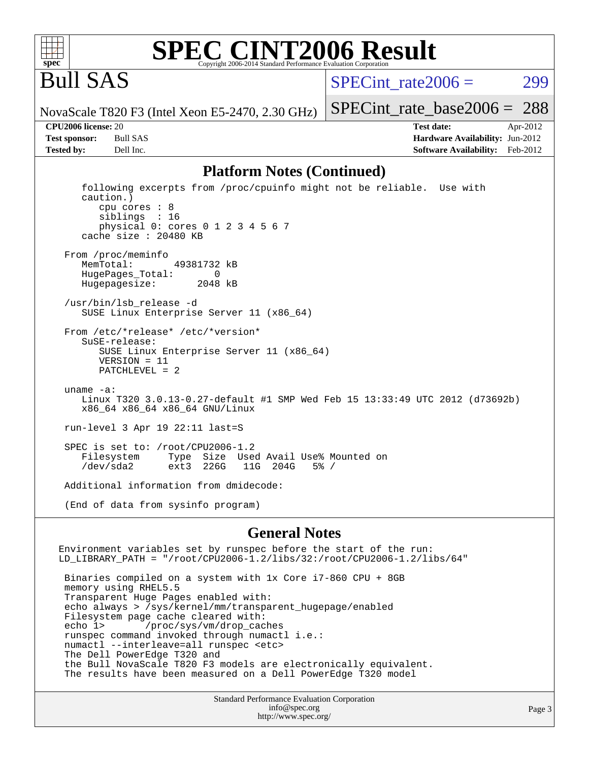

#### **[SPEC CINT2006 Result](http://www.spec.org/auto/cpu2006/Docs/result-fields.html#SPECCINT2006Result)** Copyright 2006-2014 Standard Performance Evaluation C

## Bull SAS

SPECint rate $2006 = 299$ 

[SPECint\\_rate\\_base2006 =](http://www.spec.org/auto/cpu2006/Docs/result-fields.html#SPECintratebase2006) 288

NovaScale T820 F3 (Intel Xeon E5-2470, 2.30 GHz)

**[CPU2006 license:](http://www.spec.org/auto/cpu2006/Docs/result-fields.html#CPU2006license)** 20 **[Test date:](http://www.spec.org/auto/cpu2006/Docs/result-fields.html#Testdate)** Apr-2012 **[Test sponsor:](http://www.spec.org/auto/cpu2006/Docs/result-fields.html#Testsponsor)** Bull SAS **[Hardware Availability:](http://www.spec.org/auto/cpu2006/Docs/result-fields.html#HardwareAvailability)** Jun-2012 **[Tested by:](http://www.spec.org/auto/cpu2006/Docs/result-fields.html#Testedby)** Dell Inc. **[Software Availability:](http://www.spec.org/auto/cpu2006/Docs/result-fields.html#SoftwareAvailability)** Feb-2012

#### **[Platform Notes \(Continued\)](http://www.spec.org/auto/cpu2006/Docs/result-fields.html#PlatformNotes)**

 following excerpts from /proc/cpuinfo might not be reliable. Use with caution.) cpu cores : 8 siblings : 16 physical 0: cores 0 1 2 3 4 5 6 7 cache size : 20480 KB From /proc/meminfo MemTotal: 49381732 kB HugePages\_Total: 0<br>Hugepagesize: 2048 kB Hugepagesize: /usr/bin/lsb\_release -d SUSE Linux Enterprise Server 11 (x86\_64) From /etc/\*release\* /etc/\*version\* SuSE-release: SUSE Linux Enterprise Server 11 (x86\_64) VERSION = 11 PATCHLEVEL = 2 uname -a: Linux T320 3.0.13-0.27-default #1 SMP Wed Feb 15 13:33:49 UTC 2012 (d73692b) x86\_64 x86\_64 x86\_64 GNU/Linux run-level 3 Apr 19 22:11 last=S SPEC is set to: /root/CPU2006-1.2<br>Filesystem Type Size Use Type Size Used Avail Use% Mounted on<br>ext3 226G 11G 204G 5% / /dev/sda2 ext3 226G 11G 204G 5% / Additional information from dmidecode: (End of data from sysinfo program)

#### **[General Notes](http://www.spec.org/auto/cpu2006/Docs/result-fields.html#GeneralNotes)**

Environment variables set by runspec before the start of the run: LD\_LIBRARY\_PATH = "/root/CPU2006-1.2/libs/32:/root/CPU2006-1.2/libs/64" Binaries compiled on a system with 1x Core i7-860 CPU + 8GB memory using RHEL5.5 Transparent Huge Pages enabled with: echo always > /sys/kernel/mm/transparent\_hugepage/enabled Filesystem page cache cleared with: echo 1> /proc/sys/vm/drop\_caches runspec command invoked through numactl i.e.: numactl --interleave=all runspec <etc> The Dell PowerEdge T320 and the Bull NovaScale T820 F3 models are electronically equivalent. The results have been measured on a Dell PowerEdge T320 model

> Standard Performance Evaluation Corporation [info@spec.org](mailto:info@spec.org) <http://www.spec.org/>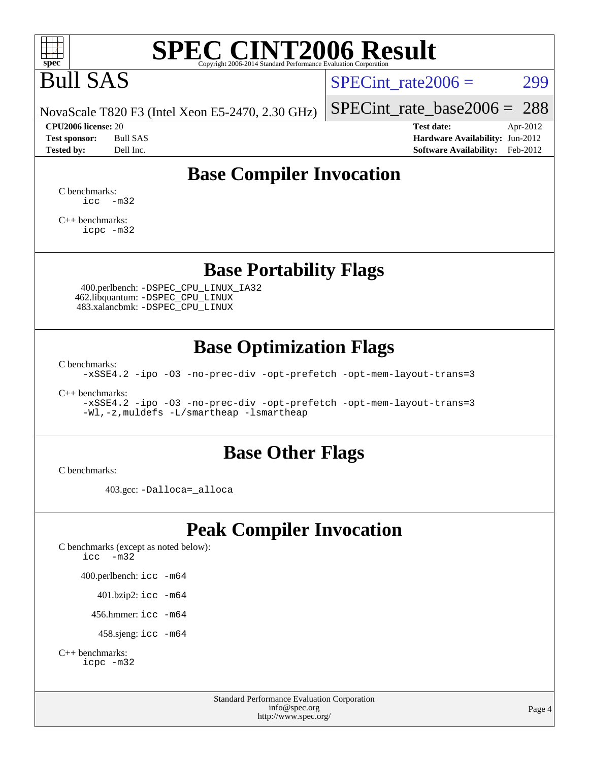

# Bull SAS

SPECint rate $2006 = 299$ 

NovaScale T820 F3 (Intel Xeon E5-2470, 2.30 GHz) [SPECint\\_rate\\_base2006 =](http://www.spec.org/auto/cpu2006/Docs/result-fields.html#SPECintratebase2006) 288

**[CPU2006 license:](http://www.spec.org/auto/cpu2006/Docs/result-fields.html#CPU2006license)** 20 **[Test date:](http://www.spec.org/auto/cpu2006/Docs/result-fields.html#Testdate)** Apr-2012 **[Test sponsor:](http://www.spec.org/auto/cpu2006/Docs/result-fields.html#Testsponsor)** Bull SAS **[Hardware Availability:](http://www.spec.org/auto/cpu2006/Docs/result-fields.html#HardwareAvailability)** Jun-2012 **[Tested by:](http://www.spec.org/auto/cpu2006/Docs/result-fields.html#Testedby)** Dell Inc. **[Software Availability:](http://www.spec.org/auto/cpu2006/Docs/result-fields.html#SoftwareAvailability)** Feb-2012

## **[Base Compiler Invocation](http://www.spec.org/auto/cpu2006/Docs/result-fields.html#BaseCompilerInvocation)**

[C benchmarks](http://www.spec.org/auto/cpu2006/Docs/result-fields.html#Cbenchmarks):  $\text{icc}$   $-\text{m32}$ 

[C++ benchmarks:](http://www.spec.org/auto/cpu2006/Docs/result-fields.html#CXXbenchmarks) [icpc -m32](http://www.spec.org/cpu2006/results/res2012q3/cpu2006-20120703-23429.flags.html#user_CXXbase_intel_icpc_4e5a5ef1a53fd332b3c49e69c3330699)

### **[Base Portability Flags](http://www.spec.org/auto/cpu2006/Docs/result-fields.html#BasePortabilityFlags)**

 400.perlbench: [-DSPEC\\_CPU\\_LINUX\\_IA32](http://www.spec.org/cpu2006/results/res2012q3/cpu2006-20120703-23429.flags.html#b400.perlbench_baseCPORTABILITY_DSPEC_CPU_LINUX_IA32) 462.libquantum: [-DSPEC\\_CPU\\_LINUX](http://www.spec.org/cpu2006/results/res2012q3/cpu2006-20120703-23429.flags.html#b462.libquantum_baseCPORTABILITY_DSPEC_CPU_LINUX) 483.xalancbmk: [-DSPEC\\_CPU\\_LINUX](http://www.spec.org/cpu2006/results/res2012q3/cpu2006-20120703-23429.flags.html#b483.xalancbmk_baseCXXPORTABILITY_DSPEC_CPU_LINUX)

## **[Base Optimization Flags](http://www.spec.org/auto/cpu2006/Docs/result-fields.html#BaseOptimizationFlags)**

[C benchmarks](http://www.spec.org/auto/cpu2006/Docs/result-fields.html#Cbenchmarks):

[-xSSE4.2](http://www.spec.org/cpu2006/results/res2012q3/cpu2006-20120703-23429.flags.html#user_CCbase_f-xSSE42_f91528193cf0b216347adb8b939d4107) [-ipo](http://www.spec.org/cpu2006/results/res2012q3/cpu2006-20120703-23429.flags.html#user_CCbase_f-ipo) [-O3](http://www.spec.org/cpu2006/results/res2012q3/cpu2006-20120703-23429.flags.html#user_CCbase_f-O3) [-no-prec-div](http://www.spec.org/cpu2006/results/res2012q3/cpu2006-20120703-23429.flags.html#user_CCbase_f-no-prec-div) [-opt-prefetch](http://www.spec.org/cpu2006/results/res2012q3/cpu2006-20120703-23429.flags.html#user_CCbase_f-opt-prefetch) [-opt-mem-layout-trans=3](http://www.spec.org/cpu2006/results/res2012q3/cpu2006-20120703-23429.flags.html#user_CCbase_f-opt-mem-layout-trans_a7b82ad4bd7abf52556d4961a2ae94d5)

[C++ benchmarks:](http://www.spec.org/auto/cpu2006/Docs/result-fields.html#CXXbenchmarks)

[-xSSE4.2](http://www.spec.org/cpu2006/results/res2012q3/cpu2006-20120703-23429.flags.html#user_CXXbase_f-xSSE42_f91528193cf0b216347adb8b939d4107) [-ipo](http://www.spec.org/cpu2006/results/res2012q3/cpu2006-20120703-23429.flags.html#user_CXXbase_f-ipo) [-O3](http://www.spec.org/cpu2006/results/res2012q3/cpu2006-20120703-23429.flags.html#user_CXXbase_f-O3) [-no-prec-div](http://www.spec.org/cpu2006/results/res2012q3/cpu2006-20120703-23429.flags.html#user_CXXbase_f-no-prec-div) [-opt-prefetch](http://www.spec.org/cpu2006/results/res2012q3/cpu2006-20120703-23429.flags.html#user_CXXbase_f-opt-prefetch) [-opt-mem-layout-trans=3](http://www.spec.org/cpu2006/results/res2012q3/cpu2006-20120703-23429.flags.html#user_CXXbase_f-opt-mem-layout-trans_a7b82ad4bd7abf52556d4961a2ae94d5) [-Wl,-z,muldefs](http://www.spec.org/cpu2006/results/res2012q3/cpu2006-20120703-23429.flags.html#user_CXXbase_link_force_multiple1_74079c344b956b9658436fd1b6dd3a8a) [-L/smartheap -lsmartheap](http://www.spec.org/cpu2006/results/res2012q3/cpu2006-20120703-23429.flags.html#user_CXXbase_SmartHeap_7c9e394a5779e1a7fec7c221e123830c)

#### **[Base Other Flags](http://www.spec.org/auto/cpu2006/Docs/result-fields.html#BaseOtherFlags)**

[C benchmarks](http://www.spec.org/auto/cpu2006/Docs/result-fields.html#Cbenchmarks):

403.gcc: [-Dalloca=\\_alloca](http://www.spec.org/cpu2006/results/res2012q3/cpu2006-20120703-23429.flags.html#b403.gcc_baseEXTRA_CFLAGS_Dalloca_be3056838c12de2578596ca5467af7f3)

## **[Peak Compiler Invocation](http://www.spec.org/auto/cpu2006/Docs/result-fields.html#PeakCompilerInvocation)**

[C benchmarks \(except as noted below\)](http://www.spec.org/auto/cpu2006/Docs/result-fields.html#Cbenchmarksexceptasnotedbelow): [icc -m32](http://www.spec.org/cpu2006/results/res2012q3/cpu2006-20120703-23429.flags.html#user_CCpeak_intel_icc_5ff4a39e364c98233615fdd38438c6f2) 400.perlbench: [icc -m64](http://www.spec.org/cpu2006/results/res2012q3/cpu2006-20120703-23429.flags.html#user_peakCCLD400_perlbench_intel_icc_64bit_bda6cc9af1fdbb0edc3795bac97ada53) 401.bzip2: [icc -m64](http://www.spec.org/cpu2006/results/res2012q3/cpu2006-20120703-23429.flags.html#user_peakCCLD401_bzip2_intel_icc_64bit_bda6cc9af1fdbb0edc3795bac97ada53)

456.hmmer: [icc -m64](http://www.spec.org/cpu2006/results/res2012q3/cpu2006-20120703-23429.flags.html#user_peakCCLD456_hmmer_intel_icc_64bit_bda6cc9af1fdbb0edc3795bac97ada53)

458.sjeng: [icc -m64](http://www.spec.org/cpu2006/results/res2012q3/cpu2006-20120703-23429.flags.html#user_peakCCLD458_sjeng_intel_icc_64bit_bda6cc9af1fdbb0edc3795bac97ada53)

```
C++ benchmarks: 
icpc -m32
```
Standard Performance Evaluation Corporation [info@spec.org](mailto:info@spec.org) <http://www.spec.org/>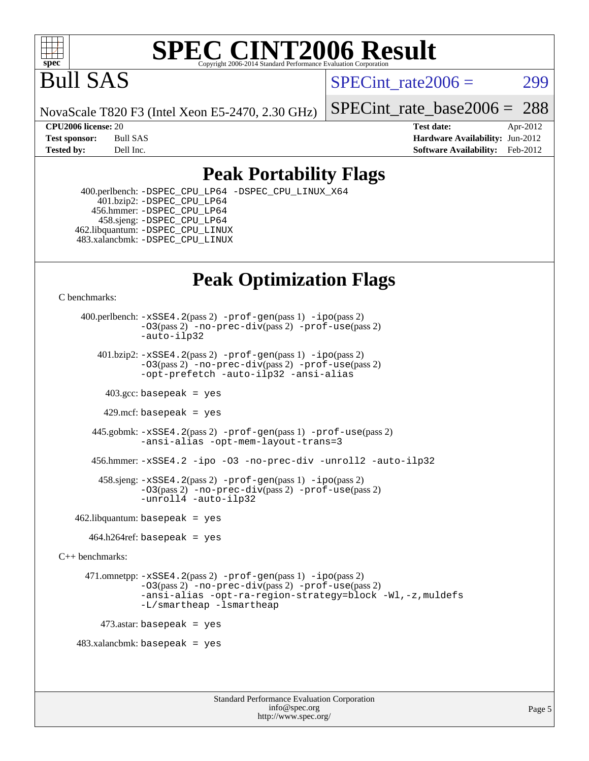

## Bull SAS

SPECint rate $2006 = 299$ 

NovaScale T820 F3 (Intel Xeon E5-2470, 2.30 GHz)

[SPECint\\_rate\\_base2006 =](http://www.spec.org/auto/cpu2006/Docs/result-fields.html#SPECintratebase2006) 288

**[CPU2006 license:](http://www.spec.org/auto/cpu2006/Docs/result-fields.html#CPU2006license)** 20 **[Test date:](http://www.spec.org/auto/cpu2006/Docs/result-fields.html#Testdate)** Apr-2012 **[Test sponsor:](http://www.spec.org/auto/cpu2006/Docs/result-fields.html#Testsponsor)** Bull SAS **[Hardware Availability:](http://www.spec.org/auto/cpu2006/Docs/result-fields.html#HardwareAvailability)** Jun-2012 **[Tested by:](http://www.spec.org/auto/cpu2006/Docs/result-fields.html#Testedby)** Dell Inc. **[Software Availability:](http://www.spec.org/auto/cpu2006/Docs/result-fields.html#SoftwareAvailability)** Feb-2012

## **[Peak Portability Flags](http://www.spec.org/auto/cpu2006/Docs/result-fields.html#PeakPortabilityFlags)**

 400.perlbench: [-DSPEC\\_CPU\\_LP64](http://www.spec.org/cpu2006/results/res2012q3/cpu2006-20120703-23429.flags.html#b400.perlbench_peakCPORTABILITY_DSPEC_CPU_LP64) [-DSPEC\\_CPU\\_LINUX\\_X64](http://www.spec.org/cpu2006/results/res2012q3/cpu2006-20120703-23429.flags.html#b400.perlbench_peakCPORTABILITY_DSPEC_CPU_LINUX_X64) 401.bzip2: [-DSPEC\\_CPU\\_LP64](http://www.spec.org/cpu2006/results/res2012q3/cpu2006-20120703-23429.flags.html#suite_peakCPORTABILITY401_bzip2_DSPEC_CPU_LP64) 456.hmmer: [-DSPEC\\_CPU\\_LP64](http://www.spec.org/cpu2006/results/res2012q3/cpu2006-20120703-23429.flags.html#suite_peakCPORTABILITY456_hmmer_DSPEC_CPU_LP64) 458.sjeng: [-DSPEC\\_CPU\\_LP64](http://www.spec.org/cpu2006/results/res2012q3/cpu2006-20120703-23429.flags.html#suite_peakCPORTABILITY458_sjeng_DSPEC_CPU_LP64) 462.libquantum: [-DSPEC\\_CPU\\_LINUX](http://www.spec.org/cpu2006/results/res2012q3/cpu2006-20120703-23429.flags.html#b462.libquantum_peakCPORTABILITY_DSPEC_CPU_LINUX) 483.xalancbmk: [-DSPEC\\_CPU\\_LINUX](http://www.spec.org/cpu2006/results/res2012q3/cpu2006-20120703-23429.flags.html#b483.xalancbmk_peakCXXPORTABILITY_DSPEC_CPU_LINUX)

## **[Peak Optimization Flags](http://www.spec.org/auto/cpu2006/Docs/result-fields.html#PeakOptimizationFlags)**

[C benchmarks](http://www.spec.org/auto/cpu2006/Docs/result-fields.html#Cbenchmarks):

 400.perlbench: [-xSSE4.2](http://www.spec.org/cpu2006/results/res2012q3/cpu2006-20120703-23429.flags.html#user_peakPASS2_CFLAGSPASS2_LDCFLAGS400_perlbench_f-xSSE42_f91528193cf0b216347adb8b939d4107)(pass 2) [-prof-gen](http://www.spec.org/cpu2006/results/res2012q3/cpu2006-20120703-23429.flags.html#user_peakPASS1_CFLAGSPASS1_LDCFLAGS400_perlbench_prof_gen_e43856698f6ca7b7e442dfd80e94a8fc)(pass 1) [-ipo](http://www.spec.org/cpu2006/results/res2012q3/cpu2006-20120703-23429.flags.html#user_peakPASS2_CFLAGSPASS2_LDCFLAGS400_perlbench_f-ipo)(pass 2) [-O3](http://www.spec.org/cpu2006/results/res2012q3/cpu2006-20120703-23429.flags.html#user_peakPASS2_CFLAGSPASS2_LDCFLAGS400_perlbench_f-O3)(pass 2) [-no-prec-div](http://www.spec.org/cpu2006/results/res2012q3/cpu2006-20120703-23429.flags.html#user_peakPASS2_CFLAGSPASS2_LDCFLAGS400_perlbench_f-no-prec-div)(pass 2) [-prof-use](http://www.spec.org/cpu2006/results/res2012q3/cpu2006-20120703-23429.flags.html#user_peakPASS2_CFLAGSPASS2_LDCFLAGS400_perlbench_prof_use_bccf7792157ff70d64e32fe3e1250b55)(pass 2) [-auto-ilp32](http://www.spec.org/cpu2006/results/res2012q3/cpu2006-20120703-23429.flags.html#user_peakCOPTIMIZE400_perlbench_f-auto-ilp32) 401.bzip2: [-xSSE4.2](http://www.spec.org/cpu2006/results/res2012q3/cpu2006-20120703-23429.flags.html#user_peakPASS2_CFLAGSPASS2_LDCFLAGS401_bzip2_f-xSSE42_f91528193cf0b216347adb8b939d4107)(pass 2) [-prof-gen](http://www.spec.org/cpu2006/results/res2012q3/cpu2006-20120703-23429.flags.html#user_peakPASS1_CFLAGSPASS1_LDCFLAGS401_bzip2_prof_gen_e43856698f6ca7b7e442dfd80e94a8fc)(pass 1) [-ipo](http://www.spec.org/cpu2006/results/res2012q3/cpu2006-20120703-23429.flags.html#user_peakPASS2_CFLAGSPASS2_LDCFLAGS401_bzip2_f-ipo)(pass 2) [-O3](http://www.spec.org/cpu2006/results/res2012q3/cpu2006-20120703-23429.flags.html#user_peakPASS2_CFLAGSPASS2_LDCFLAGS401_bzip2_f-O3)(pass 2) [-no-prec-div](http://www.spec.org/cpu2006/results/res2012q3/cpu2006-20120703-23429.flags.html#user_peakPASS2_CFLAGSPASS2_LDCFLAGS401_bzip2_f-no-prec-div)(pass 2) [-prof-use](http://www.spec.org/cpu2006/results/res2012q3/cpu2006-20120703-23429.flags.html#user_peakPASS2_CFLAGSPASS2_LDCFLAGS401_bzip2_prof_use_bccf7792157ff70d64e32fe3e1250b55)(pass 2) [-opt-prefetch](http://www.spec.org/cpu2006/results/res2012q3/cpu2006-20120703-23429.flags.html#user_peakCOPTIMIZE401_bzip2_f-opt-prefetch) [-auto-ilp32](http://www.spec.org/cpu2006/results/res2012q3/cpu2006-20120703-23429.flags.html#user_peakCOPTIMIZE401_bzip2_f-auto-ilp32) [-ansi-alias](http://www.spec.org/cpu2006/results/res2012q3/cpu2006-20120703-23429.flags.html#user_peakCOPTIMIZE401_bzip2_f-ansi-alias)  $403.\text{sec: basepeak}$  = yes 429.mcf: basepeak = yes 445.gobmk: [-xSSE4.2](http://www.spec.org/cpu2006/results/res2012q3/cpu2006-20120703-23429.flags.html#user_peakPASS2_CFLAGSPASS2_LDCFLAGS445_gobmk_f-xSSE42_f91528193cf0b216347adb8b939d4107)(pass 2) [-prof-gen](http://www.spec.org/cpu2006/results/res2012q3/cpu2006-20120703-23429.flags.html#user_peakPASS1_CFLAGSPASS1_LDCFLAGS445_gobmk_prof_gen_e43856698f6ca7b7e442dfd80e94a8fc)(pass 1) [-prof-use](http://www.spec.org/cpu2006/results/res2012q3/cpu2006-20120703-23429.flags.html#user_peakPASS2_CFLAGSPASS2_LDCFLAGS445_gobmk_prof_use_bccf7792157ff70d64e32fe3e1250b55)(pass 2) [-ansi-alias](http://www.spec.org/cpu2006/results/res2012q3/cpu2006-20120703-23429.flags.html#user_peakCOPTIMIZE445_gobmk_f-ansi-alias) [-opt-mem-layout-trans=3](http://www.spec.org/cpu2006/results/res2012q3/cpu2006-20120703-23429.flags.html#user_peakCOPTIMIZE445_gobmk_f-opt-mem-layout-trans_a7b82ad4bd7abf52556d4961a2ae94d5) 456.hmmer: [-xSSE4.2](http://www.spec.org/cpu2006/results/res2012q3/cpu2006-20120703-23429.flags.html#user_peakCOPTIMIZE456_hmmer_f-xSSE42_f91528193cf0b216347adb8b939d4107) [-ipo](http://www.spec.org/cpu2006/results/res2012q3/cpu2006-20120703-23429.flags.html#user_peakCOPTIMIZE456_hmmer_f-ipo) [-O3](http://www.spec.org/cpu2006/results/res2012q3/cpu2006-20120703-23429.flags.html#user_peakCOPTIMIZE456_hmmer_f-O3) [-no-prec-div](http://www.spec.org/cpu2006/results/res2012q3/cpu2006-20120703-23429.flags.html#user_peakCOPTIMIZE456_hmmer_f-no-prec-div) [-unroll2](http://www.spec.org/cpu2006/results/res2012q3/cpu2006-20120703-23429.flags.html#user_peakCOPTIMIZE456_hmmer_f-unroll_784dae83bebfb236979b41d2422d7ec2) [-auto-ilp32](http://www.spec.org/cpu2006/results/res2012q3/cpu2006-20120703-23429.flags.html#user_peakCOPTIMIZE456_hmmer_f-auto-ilp32) 458.sjeng: [-xSSE4.2](http://www.spec.org/cpu2006/results/res2012q3/cpu2006-20120703-23429.flags.html#user_peakPASS2_CFLAGSPASS2_LDCFLAGS458_sjeng_f-xSSE42_f91528193cf0b216347adb8b939d4107)(pass 2) [-prof-gen](http://www.spec.org/cpu2006/results/res2012q3/cpu2006-20120703-23429.flags.html#user_peakPASS1_CFLAGSPASS1_LDCFLAGS458_sjeng_prof_gen_e43856698f6ca7b7e442dfd80e94a8fc)(pass 1) [-ipo](http://www.spec.org/cpu2006/results/res2012q3/cpu2006-20120703-23429.flags.html#user_peakPASS2_CFLAGSPASS2_LDCFLAGS458_sjeng_f-ipo)(pass 2) [-O3](http://www.spec.org/cpu2006/results/res2012q3/cpu2006-20120703-23429.flags.html#user_peakPASS2_CFLAGSPASS2_LDCFLAGS458_sjeng_f-O3)(pass 2) [-no-prec-div](http://www.spec.org/cpu2006/results/res2012q3/cpu2006-20120703-23429.flags.html#user_peakPASS2_CFLAGSPASS2_LDCFLAGS458_sjeng_f-no-prec-div)(pass 2) [-prof-use](http://www.spec.org/cpu2006/results/res2012q3/cpu2006-20120703-23429.flags.html#user_peakPASS2_CFLAGSPASS2_LDCFLAGS458_sjeng_prof_use_bccf7792157ff70d64e32fe3e1250b55)(pass 2) [-unroll4](http://www.spec.org/cpu2006/results/res2012q3/cpu2006-20120703-23429.flags.html#user_peakCOPTIMIZE458_sjeng_f-unroll_4e5e4ed65b7fd20bdcd365bec371b81f) [-auto-ilp32](http://www.spec.org/cpu2006/results/res2012q3/cpu2006-20120703-23429.flags.html#user_peakCOPTIMIZE458_sjeng_f-auto-ilp32)  $462$ .libquantum: basepeak = yes  $464.h264$ ref: basepeak = yes [C++ benchmarks:](http://www.spec.org/auto/cpu2006/Docs/result-fields.html#CXXbenchmarks) 471.omnetpp: [-xSSE4.2](http://www.spec.org/cpu2006/results/res2012q3/cpu2006-20120703-23429.flags.html#user_peakPASS2_CXXFLAGSPASS2_LDCXXFLAGS471_omnetpp_f-xSSE42_f91528193cf0b216347adb8b939d4107)(pass 2) [-prof-gen](http://www.spec.org/cpu2006/results/res2012q3/cpu2006-20120703-23429.flags.html#user_peakPASS1_CXXFLAGSPASS1_LDCXXFLAGS471_omnetpp_prof_gen_e43856698f6ca7b7e442dfd80e94a8fc)(pass 1) [-ipo](http://www.spec.org/cpu2006/results/res2012q3/cpu2006-20120703-23429.flags.html#user_peakPASS2_CXXFLAGSPASS2_LDCXXFLAGS471_omnetpp_f-ipo)(pass 2) [-O3](http://www.spec.org/cpu2006/results/res2012q3/cpu2006-20120703-23429.flags.html#user_peakPASS2_CXXFLAGSPASS2_LDCXXFLAGS471_omnetpp_f-O3)(pass 2) [-no-prec-div](http://www.spec.org/cpu2006/results/res2012q3/cpu2006-20120703-23429.flags.html#user_peakPASS2_CXXFLAGSPASS2_LDCXXFLAGS471_omnetpp_f-no-prec-div)(pass 2) [-prof-use](http://www.spec.org/cpu2006/results/res2012q3/cpu2006-20120703-23429.flags.html#user_peakPASS2_CXXFLAGSPASS2_LDCXXFLAGS471_omnetpp_prof_use_bccf7792157ff70d64e32fe3e1250b55)(pass 2) [-ansi-alias](http://www.spec.org/cpu2006/results/res2012q3/cpu2006-20120703-23429.flags.html#user_peakCXXOPTIMIZE471_omnetpp_f-ansi-alias) [-opt-ra-region-strategy=block](http://www.spec.org/cpu2006/results/res2012q3/cpu2006-20120703-23429.flags.html#user_peakCXXOPTIMIZE471_omnetpp_f-opt-ra-region-strategy_a0a37c372d03933b2a18d4af463c1f69) [-Wl,-z,muldefs](http://www.spec.org/cpu2006/results/res2012q3/cpu2006-20120703-23429.flags.html#user_peakEXTRA_LDFLAGS471_omnetpp_link_force_multiple1_74079c344b956b9658436fd1b6dd3a8a) [-L/smartheap -lsmartheap](http://www.spec.org/cpu2006/results/res2012q3/cpu2006-20120703-23429.flags.html#user_peakEXTRA_LIBS471_omnetpp_SmartHeap_7c9e394a5779e1a7fec7c221e123830c)  $473$ .astar: basepeak = yes 483.xalancbmk: basepeak = yes